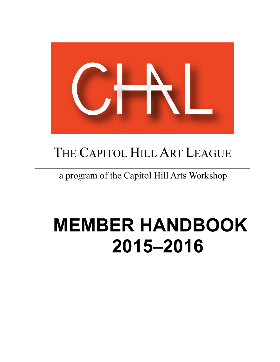

# THE CAPITOL HILL ART LEAGUE

### a program of the Capitol Hill Arts Workshop

# **MEMBER HANDBOOK 2015–2016**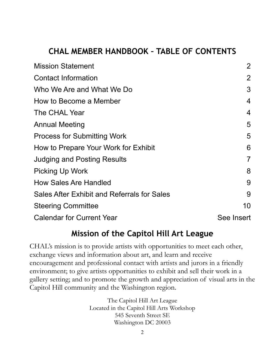### **CHAL MEMBER HANDBOOK – TABLE OF CONTENTS**

| <b>Mission Statement</b>                    | $\overline{2}$ |
|---------------------------------------------|----------------|
| <b>Contact Information</b>                  | 2              |
| Who We Are and What We Do                   | 3              |
| How to Become a Member                      | 4              |
| The CHAL Year                               | 4              |
| <b>Annual Meeting</b>                       | 5              |
| <b>Process for Submitting Work</b>          | 5              |
| How to Prepare Your Work for Exhibit        | 6              |
| <b>Judging and Posting Results</b>          | 7              |
| <b>Picking Up Work</b>                      | 8              |
| <b>How Sales Are Handled</b>                | 9              |
| Sales After Exhibit and Referrals for Sales | 9              |
| <b>Steering Committee</b>                   | 10             |
| <b>Calendar for Current Year</b>            | See Insert     |

#### **Mission of the Capitol Hill Art League**

CHAL's mission is to provide artists with opportunities to meet each other, exchange views and information about art, and learn and receive encouragement and professional contact with artists and jurors in a friendly environment; to give artists opportunities to exhibit and sell their work in a gallery setting; and to promote the growth and appreciation of visual arts in the Capitol Hill community and the Washington region.

> The Capitol Hill Art League Located in the Capitol Hill Arts Workshop 545 Seventh Street SE Washington DC 20003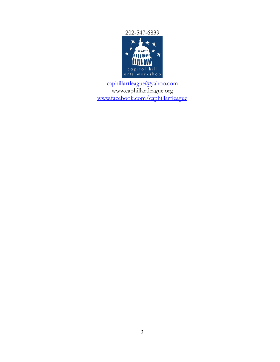202-547-6839



[caphillartleague@yahoo.com](mailto:caphillartleague@yahoo.com) [www.caphillartleague.org](http://www.chaw.org/affiliates) [www.facebook.com/caphillartleague](http://www.facebook.com/caphillartleague)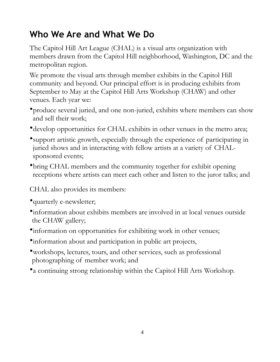### **Who We Are and What We Do**

The Capitol Hill Art League (CHAL) is a visual arts organization with members drawn from the Capitol Hill neighborhood, Washington, DC and the metropolitan region.

We promote the visual arts through member exhibits in the Capitol Hill community and beyond. Our principal effort is in producing exhibits from September to May at the Capitol Hill Arts Workshop (CHAW) and other venues. Each year we:

- •produce several juried, and one non-juried, exhibits where members can show and sell their work;
- •develop opportunities for CHAL exhibits in other venues in the metro area;
- •support artistic growth, especially through the experience of participating in juried shows and in interacting with fellow artists at a variety of CHALsponsored events;
- •bring CHAL members and the community together for exhibit opening receptions where artists can meet each other and listen to the juror talks; and

CHAL also provides its members:

- •quarterly e-newsletter;
- •information about exhibits members are involved in at local venues outside the CHAW gallery;
- •information on opportunities for exhibiting work in other venues;
- •information about and participation in public art projects,
- •workshops, lectures, tours, and other services, such as professional photographing of member work; and
- •a continuing strong relationship within the Capitol Hill Arts Workshop.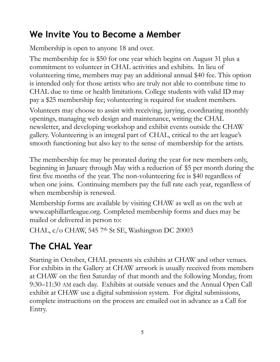### **We Invite You to Become a Member**

Membership is open to anyone 18 and over.

The membership fee is \$50 for one year which begins on August 31 plus a commitment to volunteer in CHAL activities and exhibits. In lieu of volunteering time, members may pay an additional annual \$40 fee. This option is intended only for those artists who are truly not able to contribute time to CHAL due to time or health limitations. College students with valid ID may pay a \$25 membership fee; volunteering is required for student members.

Volunteers may choose to assist with receiving, jurying, coordinating monthly openings, managing web design and maintenance, writing the CHAL newsletter, and developing workshop and exhibit events outside the CHAW gallery. Volunteering is an integral part of CHAL, critical to the art league's smooth functioning but also key to the sense of membership for the artists.

The membership fee may be prorated during the year for new members only, beginning in January through May with a reduction of \$5 per month during the first five months of the year. The non-volunteering fee is \$40 regardless of when one joins. Continuing members pay the full rate each year, regardless of when membership is renewed.

Membership forms are available by visiting CHAW as well as on the web at [www.caphillartleague.org](http://www.chaw.org/affiliates). Completed membership forms and dues may be mailed or delivered in person to:

CHAL, c/o CHAW, 545 7<sup>th</sup> St SE, Washington DC 20003

# **The CHAL Year**

Starting in October, CHAL presents six exhibits at CHAW and other venues. For exhibits in the Gallery at CHAW artwork is usually received from members at CHAW on the first Saturday of that month and the following Monday, from 9:30–11:30 AM each day. Exhibits at outside venues and the Annual Open Call exhibit at CHAW use a digital submission system. For digital submissions, complete instructions on the process are emailed out in advance as a Call for Entry.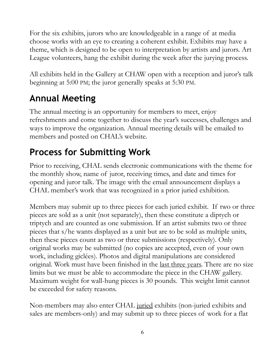For the six exhibits, jurors who are knowledgeable in a range of at media choose works with an eye to creating a coherent exhibit. Exhibits may have a theme, which is designed to be open to interpretation by artists and jurors. Art League volunteers, hang the exhibit during the week after the jurying process.

All exhibits held in the Gallery at CHAW open with a reception and juror's talk beginning at 5:00 PM; the juror generally speaks at 5:30 PM.

### **Annual Meeting**

The annual meeting is an opportunity for members to meet, enjoy refreshments and come together to discuss the year's successes, challenges and ways to improve the organization. Annual meeting details will be emailed to members and posted on CHAL's website.

### **Process for Submitting Work**

Prior to receiving, CHAL sends electronic communications with the theme for the monthly show, name of juror, receiving times, and date and times for opening and juror talk. The image with the email announcement displays a CHAL member's work that was recognized in a prior juried exhibition.

Members may submit up to three pieces for each juried exhibit. If two or three pieces are sold as a unit (not separately), then these constitute a diptych or triptych and are counted as one submission. If an artist submits two or three pieces that s/he wants displayed as a unit but are to be sold as multiple units, then these pieces count as two or three submissions (respectively). Only original works may be submitted (no copies are accepted, even of your own work, including giclées). Photos and digital manipulations are considered original. Work must have been finished in the <u>last three years</u>. There are no size limits but we must be able to accommodate the piece in the CHAW gallery. Maximum weight for wall-hung pieces is 30 pounds. This weight limit cannot be exceeded for safety reasons.

Non-members may also enter CHAL juried exhibits (non-juried exhibits and sales are members-only) and may submit up to three pieces of work for a flat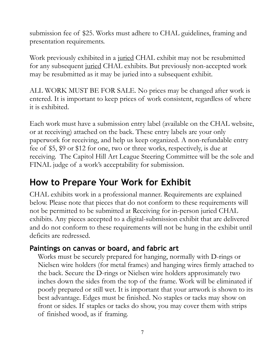submission fee of \$25. Works must adhere to CHAL guidelines, framing and presentation requirements.

Work previously exhibited in a juried CHAL exhibit may not be resubmitted for any subsequent juried CHAL exhibits. But previously non-accepted work may be resubmitted as it may be juried into a subsequent exhibit.

ALL WORK MUST BE FOR SALE. No prices may be changed after work is entered. It is important to keep prices of work consistent, regardless of where it is exhibited.

Each work must have a submission entry label (available on the CHAL website, or at receiving) attached on the back. These entry labels are your only paperwork for receiving, and help us keep organized. A non-refundable entry fee of \$5, \$9 or \$12 for one, two or three works, respectively, is due at receiving. The Capitol Hill Art League Steering Committee will be the sole and FINAL judge of a work's acceptability for submission.

### **How to Prepare Your Work for Exhibit**

CHAL exhibits work in a professional manner. Requirements are explained below. Please note that pieces that do not conform to these requirements will not be permitted to be submitted at Receiving for in-person juried CHAL exhibits. Any pieces accepted to a digital-submission exhibit that are delivered and do not conform to these requirements will not be hung in the exhibit until deficits are redressed.

#### **Paintings on canvas or board, and fabric art**

Works must be securely prepared for hanging, normally with D-rings or Nielsen wire holders (for metal frames) and hanging wires firmly attached to the back. Secure the D-rings or Nielsen wire holders approximately two inches down the sides from the top of the frame. Work will be eliminated if poorly prepared or still wet. It is important that your artwork is shown to its best advantage. Edges must be finished. No staples or tacks may show on front or sides. If staples or tacks do show, you may cover them with strips of finished wood, as if framing.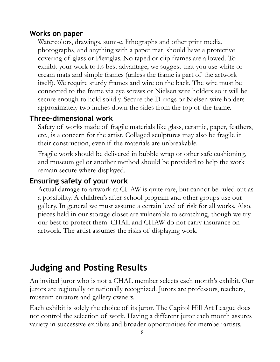#### **Works on paper**

Watercolors, drawings, sumi-e, lithographs and other print media, photographs, and anything with a paper mat, should have a protective covering of glass or Plexiglas. No taped or clip frames are allowed. To exhibit your work to its best advantage, we suggest that you use white or cream mats and simple frames (unless the frame is part of the artwork itself). We require sturdy frames and wire on the back. The wire must be connected to the frame via eye screws or Nielsen wire holders so it will be secure enough to hold solidly. Secure the D-rings or Nielsen wire holders approximately two inches down the sides from the top of the frame.

#### **Three-dimensional work**

Safety of works made of fragile materials like glass, ceramic, paper, feathers, etc., is a concern for the artist. Collaged sculptures may also be fragile in their construction, even if the materials are unbreakable.

Fragile work should be delivered in bubble wrap or other safe cushioning, and museum gel or another method should be provided to help the work remain secure where displayed.

#### **Ensuring safety of your work**

Actual damage to artwork at CHAW is quite rare, but cannot be ruled out as a possibility. A children's after-school program and other groups use our gallery. In general we must assume a certain level of risk for all works. Also, pieces held in our storage closet are vulnerable to scratching, though we try our best to protect them. CHAL and CHAW do not carry insurance on artwork. The artist assumes the risks of displaying work.

### **Judging and Posting Results**

An invited juror who is not a CHAL member selects each month's exhibit. Our jurors are regionally or nationally recognized. Jurors are professors, teachers, museum curators and gallery owners.

Each exhibit is solely the choice of its juror. The Capitol Hill Art League does not control the selection of work. Having a different juror each month assures variety in successive exhibits and broader opportunities for member artists.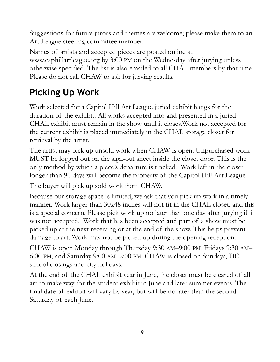Suggestions for future jurors and themes are welcome; please make them to an Art League steering committee member.

Names of artists and accepted pieces are posted online at [www.caphillartleague.org](http://www.caphillartleague.org) by 3:00 PM on the Wednesday after jurying unless otherwise specified. The list is also emailed to all CHAL members by that time. Please <u>do not call</u> CHAW to ask for jurying results.

## **Picking Up Work**

Work selected for a Capitol Hill Art League juried exhibit hangs for the duration of the exhibit. All works accepted into and presented in a juried CHAL exhibit must remain in the show until it closes.Work not accepted for the current exhibit is placed immediately in the CHAL storage closet for retrieval by the artist.

The artist may pick up unsold work when CHAW is open. Unpurchased work MUST be logged out on the sign-out sheet inside the closet door. This is the only method by which a piece's departure is tracked. Work left in the closet longer than 90 days will become the property of the Capitol Hill Art League.

The buyer will pick up sold work from CHAW.

Because our storage space is limited, we ask that you pick up work in a timely manner. Work larger than 30x48 inches will not fit in the CHAL closet, and this is a special concern. Please pick work up no later than one day after jurying if it was not accepted. Work that has been accepted and part of a show must be picked up at the next receiving or at the end of the show. This helps prevent damage to art. Work may not be picked up during the opening reception.

CHAW is open Monday through Thursday 9:30 AM–9:00 PM, Fridays 9:30 AM– 6:00 PM, and Saturday 9:00 AM–2:00 PM. CHAW is closed on Sundays, DC school closings and city holidays.

At the end of the CHAL exhibit year in June, the closet must be cleared of all art to make way for the student exhibit in June and later summer events. The final date of exhibit will vary by year, but will be no later than the second Saturday of each June.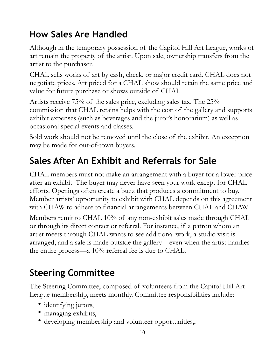### **How Sales Are Handled**

Although in the temporary possession of the Capitol Hill Art League, works of art remain the property of the artist. Upon sale, ownership transfers from the artist to the purchaser.

CHAL sells works of art by cash, check, or major credit card. CHAL does not negotiate prices. Art priced for a CHAL show should retain the same price and value for future purchase or shows outside of CHAL.

Artists receive 75% of the sales price, excluding sales tax. The 25% commission that CHAL retains helps with the cost of the gallery and supports exhibit expenses (such as beverages and the juror's honorarium) as well as occasional special events and classes.

Sold work should not be removed until the close of the exhibit. An exception may be made for out-of-town buyers.

### **Sales After An Exhibit and Referrals for Sale**

CHAL members must not make an arrangement with a buyer for a lower price after an exhibit. The buyer may never have seen your work except for CHAL efforts. Openings often create a buzz that produces a commitment to buy. Member artists' opportunity to exhibit with CHAL depends on this agreement with CHAW to adhere to financial arrangements between CHAL and CHAW.

Members remit to CHAL 10% of any non-exhibit sales made through CHAL or through its direct contact or referral. For instance, if a patron whom an artist meets through CHAL wants to see additional work, a studio visit is arranged, and a sale is made outside the gallery—even when the artist handles the entire process—a 10% referral fee is due to CHAL.

### **Steering Committee**

The Steering Committee, composed of volunteers from the Capitol Hill Art League membership, meets monthly. Committee responsibilities include:

- identifying jurors,
- managing exhibits,
- developing membership and volunteer opportunities,,